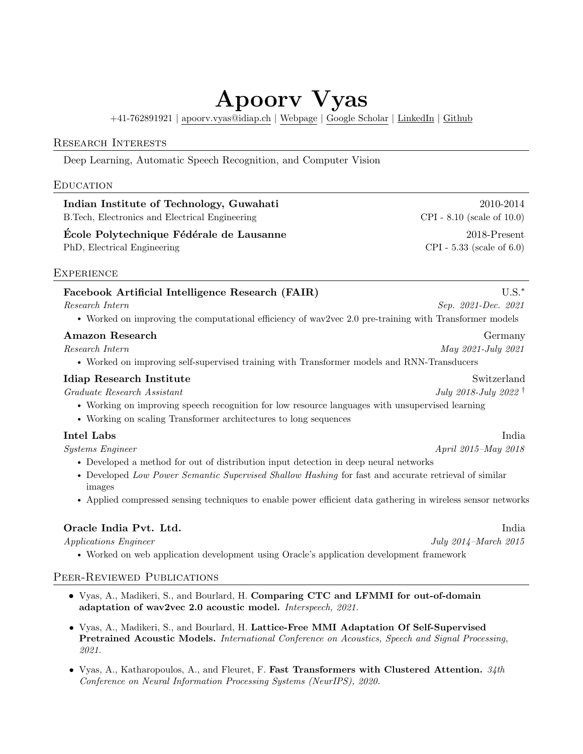# Apoorv Vyas

+41-762891921 | [apoorv.vyas@idiap.ch](mailto:apoorv.vyas@idiap.ch) | [Webpage](https://apoorv2904.github.io) | [Google Scholar](https://scholar.google.com/citations?user=7EoDBR0AAAAJ&hl=en) | [LinkedIn](https://linkedin.com/in/apoorv2904) | [Github](https://github.com/apoorv2904)

# Research Interests

Deep Learning, Automatic Speech Recognition, and Computer Vision

# **EDUCATION**

Indian Institute of Technology, Guwahati 2010-2014 B.Tech, Electronics and Electrical Engineering CPI - 8.10 (scale of 10.0)

Ecole Polytechnique Fédérale de Lausanne  $2018$ -Present PhD, Electrical Engineering CPI - 5.33 (scale of 6.0)

# **EXPERIENCE**

# Facebook Artificial Intelligence Research (FAIR) U.S.<sup>∗</sup>

Research Intern Sep. 2021-Dec. 2021

• Worked on improving the computational efficiency of wav2vec 2.0 pre-training with Transformer models

# Amazon Research Germany

Research Intern May 2021-July 2021

• Worked on improving self-supervised training with Transformer models and RNN-Transducers

# Idiap Research Institute Switzerland

Graduate Research Assistant July 2022 †

• Working on improving speech recognition for low resource languages with unsupervised learning

• Working on scaling Transformer architectures to long sequences

# Intel Labs India

Systems Engineer April 2015–May 2018

- Developed a method for out of distribution input detection in deep neural networks
- Developed Low Power Semantic Supervised Shallow Hashing for fast and accurate retrieval of similar images
- Applied compressed sensing techniques to enable power efficient data gathering in wireless sensor networks

# **Oracle India Pvt. Ltd.** India **Pvt. Ltd.** India

• Worked on web application development using Oracle's application development framework

# PEER-REVIEWED PUBLICATIONS

- Vyas, A., Madikeri, S., and Bourlard, H. Comparing CTC and LFMMI for out-of-domain adaptation of wav2vec 2.0 acoustic model. Interspeech, 2021.
- Vyas, A., Madikeri, S., and Bourlard, H. Lattice-Free MMI Adaptation Of Self-Supervised Pretrained Acoustic Models. International Conference on Acoustics, Speech and Signal Processing, 2021.
- Vyas, A., Katharopoulos, A., and Fleuret, F. Fast Transformers with Clustered Attention.  $34$ th Conference on Neural Information Processing Systems (NeurIPS), 2020.

Applications Engineer July 2014–March 2015